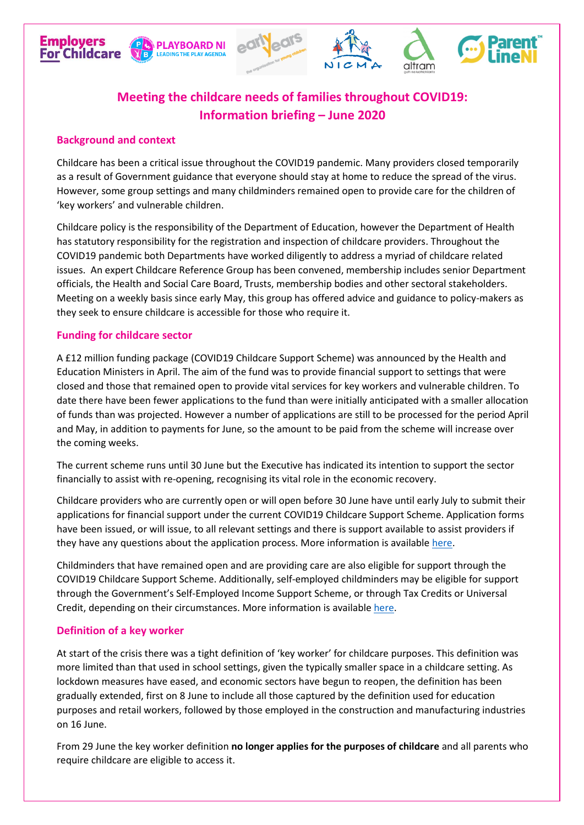

### **Background and context**

**PLAYBOARD NI** 

**LEADING THE PLAY AGEND** 

**Employers** 

**For Childcare** 

Childcare has been a critical issue throughout the COVID19 pandemic. Many providers closed temporarily as a result of Government guidance that everyone should stay at home to reduce the spread of the virus. However, some group settings and many childminders remained open to provide care for the children of 'key workers' and vulnerable children.

Childcare policy is the responsibility of the Department of Education, however the Department of Health has statutory responsibility for the registration and inspection of childcare providers. Throughout the COVID19 pandemic both Departments have worked diligently to address a myriad of childcare related issues. An expert Childcare Reference Group has been convened, membership includes senior Department officials, the Health and Social Care Board, Trusts, membership bodies and other sectoral stakeholders. Meeting on a weekly basis since early May, this group has offered advice and guidance to policy-makers as they seek to ensure childcare is accessible for those who require it.

#### **Funding for childcare sector**

A £12 million funding package (COVID19 Childcare Support Scheme) was announced by the Health and Education Ministers in April. The aim of the fund was to provide financial support to settings that were closed and those that remained open to provide vital services for key workers and vulnerable children. To date there have been fewer applications to the fund than were initially anticipated with a smaller allocation of funds than was projected. However a number of applications are still to be processed for the period April and May, in addition to payments for June, so the amount to be paid from the scheme will increase over the coming weeks.

The current scheme runs until 30 June but the Executive has indicated its intention to support the sector financially to assist with re-opening, recognising its vital role in the economic recovery.

Childcare providers who are currently open or will open before 30 June have until early July to submit their applications for financial support under the current COVID19 Childcare Support Scheme. Application forms have been issued, or will issue, to all relevant settings and there is support available to assist providers if they have any questions about the application process. More information is available [here.](https://www.familysupportni.gov.uk/Support/91/covid19-latest-advice-for-childcare-providers-key-workers-looking-for-childcare)

Childminders that have remained open and are providing care are also eligible for support through the COVID19 Childcare Support Scheme. Additionally, self-employed childminders may be eligible for support through the Government's Self-Employed Income Support Scheme, or through Tax Credits or Universal Credit, depending on their circumstances. More information is available [here.](https://www.employersforchildcare.org/news-item/financial-support-for-self-employed-childminders-in-northern-ireland-during-covid-19/)

#### **Definition of a key worker**

At start of the crisis there was a tight definition of 'key worker' for childcare purposes. This definition was more limited than that used in school settings, given the typically smaller space in a childcare setting. As lockdown measures have eased, and economic sectors have begun to reopen, the definition has been gradually extended, first on 8 June to include all those captured by the definition used for education purposes and retail workers, followed by those employed in the construction and manufacturing industries on 16 June.

From 29 June the key worker definition **no longer applies for the purposes of childcare** and all parents who require childcare are eligible to access it.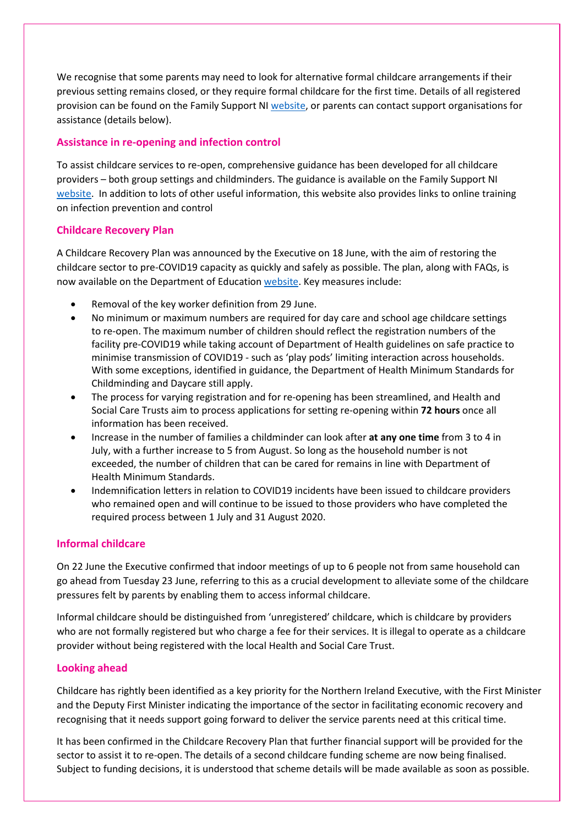We recognise that some parents may need to look for alternative formal childcare arrangements if their previous setting remains closed, or they require formal childcare for the first time. Details of all registered provision can be found on the Family Support NI [website,](https://www.familysupportni.gov.uk/Support/45/using-our-childcare-search) or parents can contact support organisations for assistance (details below).

# **Assistance in re-opening and infection control**

To assist childcare services to re-open, comprehensive guidance has been developed for all childcare providers – both group settings and childminders. The guidance is available on the Family Support NI [website.](https://www.familysupportni.gov.uk/Support/91/provision-of-childcare-during-the-covid19-pandemic) In addition to lots of other useful information, this website also provides links to online training on infection prevention and control

## **Childcare Recovery Plan**

A Childcare Recovery Plan was announced by the Executive on 18 June, with the aim of restoring the childcare sector to pre-COVID19 capacity as quickly and safely as possible. The plan, along with FAQs, is now available on the Department of Education [website.](https://www.education-ni.gov.uk/faqs-childcare-recovery-plans-24-june-2020) Key measures include:

- Removal of the key worker definition from 29 June.
- No minimum or maximum numbers are required for day care and school age childcare settings to re-open. The maximum number of children should reflect the registration numbers of the facility pre-COVID19 while taking account of Department of Health guidelines on safe practice to minimise transmission of COVID19 - such as 'play pods' limiting interaction across households. With some exceptions, identified in guidance, the Department of Health Minimum Standards for Childminding and Daycare still apply.
- The process for varying registration and for re-opening has been streamlined, and Health and Social Care Trusts aim to process applications for setting re-opening within **72 hours** once all information has been received.
- Increase in the number of families a childminder can look after **at any one time** from 3 to 4 in July, with a further increase to 5 from August. So long as the household number is not exceeded, the number of children that can be cared for remains in line with Department of Health Minimum Standards.
- Indemnification letters in relation to COVID19 incidents have been issued to childcare providers who remained open and will continue to be issued to those providers who have completed the required process between 1 July and 31 August 2020.

### **Informal childcare**

On 22 June the Executive confirmed that indoor meetings of up to 6 people not from same household can go ahead from Tuesday 23 June, referring to this as a crucial development to alleviate some of th[e childcare](https://twitter.com/hashtag/childcare?src=hashtag_click) pressures felt by parents by enabling them to access informal childcare.

Informal childcare should be distinguished from 'unregistered' childcare, which is childcare by providers who are not formally registered but who charge a fee for their services. It is illegal to operate as a childcare provider without being registered with the local Health and Social Care Trust.

### **Looking ahead**

Childcare has rightly been identified as a key priority for the Northern Ireland Executive, with the First Minister and the Deputy First Minister indicating the importance of the sector in facilitating economic recovery and recognising that it needs support going forward to deliver the service parents need at this critical time.

It has been confirmed in the Childcare Recovery Plan that further financial support will be provided for the sector to assist it to re-open. The details of a second childcare funding scheme are now being finalised. Subject to funding decisions, it is understood that scheme details will be made available as soon as possible.